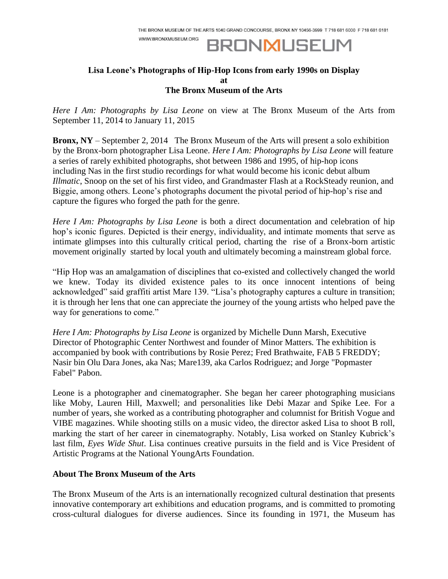WWW.BRONXMUSEUM.ORG

## **BRONMUSEUM**

## **Lisa Leone's Photographs of Hip-Hop Icons from early 1990s on Display at The Bronx Museum of the Arts**

*Here I Am: Photographs by Lisa Leone* on view at The Bronx Museum of the Arts from September 11, 2014 to January 11, 2015

**Bronx, NY** – September 2, 2014 The Bronx Museum of the Arts will present a solo exhibition by the Bronx-born photographer Lisa Leone. *Here I Am: Photographs by Lisa Leone* will feature a series of rarely exhibited photographs, shot between 1986 and 1995, of hip-hop icons including Nas in the first studio recordings for what would become his iconic debut album *Illmatic*, Snoop on the set of his first video, and Grandmaster Flash at a RockSteady reunion, and Biggie, among others. Leone's photographs document the pivotal period of hip-hop's rise and capture the figures who forged the path for the genre.

*Here I Am: Photographs by Lisa Leone* is both a direct documentation and celebration of hip hop's iconic figures. Depicted is their energy, individuality, and intimate moments that serve as intimate glimpses into this culturally critical period, charting the rise of a Bronx-born artistic movement originally started by local youth and ultimately becoming a mainstream global force.

"Hip Hop was an amalgamation of disciplines that co-existed and collectively changed the world we knew. Today its divided existence pales to its once innocent intentions of being acknowledged" said graffiti artist Mare 139. "Lisa's photography captures a culture in transition; it is through her lens that one can appreciate the journey of the young artists who helped pave the way for generations to come."

*Here I Am: Photographs by Lisa Leone* is organized by Michelle Dunn Marsh, Executive Director of Photographic Center Northwest and founder of Minor Matters*.* The exhibition is accompanied by book with contributions by Rosie Perez; Fred Brathwaite, FAB 5 FREDDY; Nasir bin Olu Dara Jones, aka Nas; Mare139, aka Carlos Rodriguez; and Jorge "Popmaster Fabel" Pabon.

Leone is a photographer and cinematographer. She began her career photographing musicians like Moby, Lauren Hill, Maxwell; and personalities like Debi Mazar and Spike Lee. For a number of years, she worked as a contributing photographer and columnist for British Vogue and VIBE magazines. While shooting stills on a music video, the director asked Lisa to shoot B roll, marking the start of her career in cinematography. Notably, Lisa worked on Stanley Kubrick's last film, *Eyes Wide Shut*. Lisa continues creative pursuits in the field and is Vice President of Artistic Programs at the National YoungArts Foundation.

## **About The Bronx Museum of the Arts**

The Bronx Museum of the Arts is an internationally recognized cultural destination that presents innovative contemporary art exhibitions and education programs, and is committed to promoting cross-cultural dialogues for diverse audiences. Since its founding in 1971, the Museum has